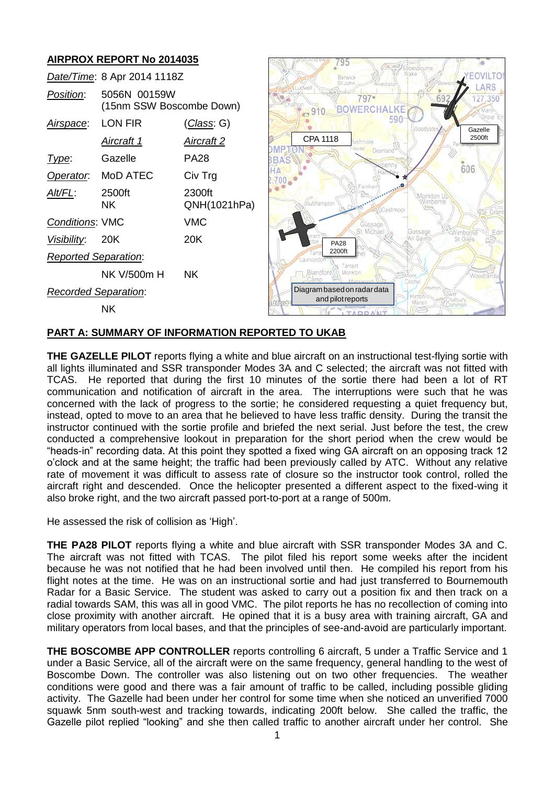# **AIRPROX REPORT No 2014035**

|                    |                                                                               | Wake<br>Berwick                                          |                                                                                                                                                                      |
|--------------------|-------------------------------------------------------------------------------|----------------------------------------------------------|----------------------------------------------------------------------------------------------------------------------------------------------------------------------|
| 5056N 00159W       |                                                                               | $797 -$                                                  | 27.350                                                                                                                                                               |
| LON FIR            | <u>(Class</u> : G)                                                            | Woodyate                                                 | Gazelle                                                                                                                                                              |
| Aircraft 1         | Aircraft 2                                                                    | CPA 1118<br>avoindeus                                    | 2500ft                                                                                                                                                               |
| Gazelle            | <b>PA28</b>                                                                   | BAS                                                      |                                                                                                                                                                      |
| MoD ATEC           | Civ Trg                                                                       |                                                          |                                                                                                                                                                      |
| 2500ft<br>NK.      | 2300ft<br>QNH(1021hPa)                                                        | Famhe<br>Monkton U<br>Stubhampton<br>Nimborne<br>ashmoor |                                                                                                                                                                      |
|                    | <b>VMC</b>                                                                    | Güssage                                                  |                                                                                                                                                                      |
| 20K                | 20K                                                                           | All Saints<br><b>PA28</b>                                | Edn                                                                                                                                                                  |
|                    |                                                                               |                                                          |                                                                                                                                                                      |
| <b>NK V/500m H</b> | <b>NK</b>                                                                     | Blandford<br>Monkton                                     | Woodlands                                                                                                                                                            |
|                    |                                                                               | Diagram based on radar data                              |                                                                                                                                                                      |
| <b>NK</b>          |                                                                               | Martel<br><b>I TADDAN'</b>                               |                                                                                                                                                                      |
|                    | Conditions: VMC<br><b>Reported Separation:</b><br><b>Recorded Separation:</b> | Date/Time: 8 Apr 2014 1118Z<br>(15nm SSW Boscombe Down)  | St John<br>Alvedisto<br><b>touse</b><br>Deanland<br>enn<br>606<br>St Michael<br>Gussage<br>Nimborne<br>St Giles<br>2200ft<br>Tarrant<br>Crichel<br>and pilot reports |

# **PART A: SUMMARY OF INFORMATION REPORTED TO UKAB**

**THE GAZELLE PILOT** reports flying a white and blue aircraft on an instructional test-flying sortie with all lights illuminated and SSR transponder Modes 3A and C selected; the aircraft was not fitted with TCAS. He reported that during the first 10 minutes of the sortie there had been a lot of RT communication and notification of aircraft in the area. The interruptions were such that he was concerned with the lack of progress to the sortie; he considered requesting a quiet frequency but, instead, opted to move to an area that he believed to have less traffic density. During the transit the instructor continued with the sortie profile and briefed the next serial. Just before the test, the crew conducted a comprehensive lookout in preparation for the short period when the crew would be "heads-in" recording data. At this point they spotted a fixed wing GA aircraft on an opposing track 12 o'clock and at the same height; the traffic had been previously called by ATC. Without any relative rate of movement it was difficult to assess rate of closure so the instructor took control, rolled the aircraft right and descended. Once the helicopter presented a different aspect to the fixed-wing it also broke right, and the two aircraft passed port-to-port at a range of 500m.

He assessed the risk of collision as 'High'.

**THE PA28 PILOT** reports flying a white and blue aircraft with SSR transponder Modes 3A and C. The aircraft was not fitted with TCAS. The pilot filed his report some weeks after the incident because he was not notified that he had been involved until then. He compiled his report from his flight notes at the time. He was on an instructional sortie and had just transferred to Bournemouth Radar for a Basic Service. The student was asked to carry out a position fix and then track on a radial towards SAM, this was all in good VMC. The pilot reports he has no recollection of coming into close proximity with another aircraft. He opined that it is a busy area with training aircraft, GA and military operators from local bases, and that the principles of see-and-avoid are particularly important.

**THE BOSCOMBE APP CONTROLLER** reports controlling 6 aircraft, 5 under a Traffic Service and 1 under a Basic Service, all of the aircraft were on the same frequency, general handling to the west of Boscombe Down. The controller was also listening out on two other frequencies. The weather conditions were good and there was a fair amount of traffic to be called, including possible gliding activity. The Gazelle had been under her control for some time when she noticed an unverified 7000 squawk 5nm south-west and tracking towards, indicating 200ft below. She called the traffic, the Gazelle pilot replied "looking" and she then called traffic to another aircraft under her control. She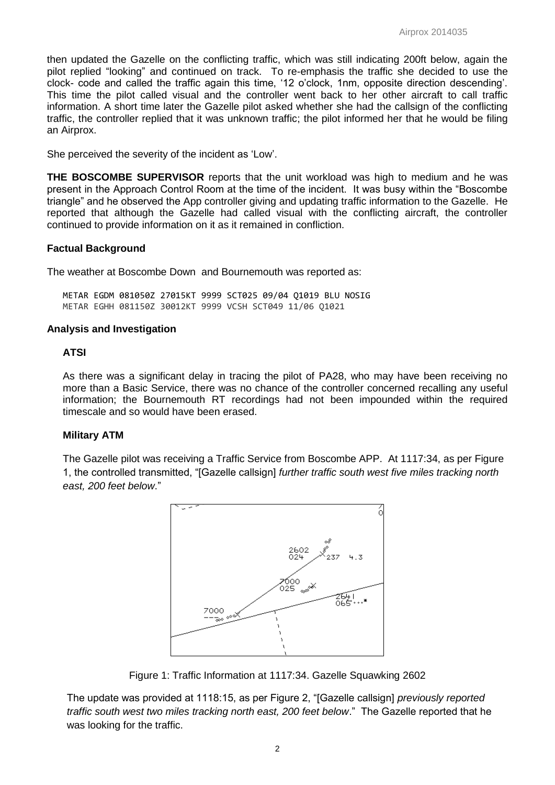then updated the Gazelle on the conflicting traffic, which was still indicating 200ft below, again the pilot replied "looking" and continued on track. To re-emphasis the traffic she decided to use the clock- code and called the traffic again this time, '12 o'clock, 1nm, opposite direction descending'. This time the pilot called visual and the controller went back to her other aircraft to call traffic information. A short time later the Gazelle pilot asked whether she had the callsign of the conflicting traffic, the controller replied that it was unknown traffic; the pilot informed her that he would be filing an Airprox.

She perceived the severity of the incident as 'Low'.

**THE BOSCOMBE SUPERVISOR** reports that the unit workload was high to medium and he was present in the Approach Control Room at the time of the incident. It was busy within the "Boscombe triangle" and he observed the App controller giving and updating traffic information to the Gazelle. He reported that although the Gazelle had called visual with the conflicting aircraft, the controller continued to provide information on it as it remained in confliction.

### **Factual Background**

The weather at Boscombe Down and Bournemouth was reported as:

METAR EGDM 081050Z 27015KT 9999 SCT025 09/04 Q1019 BLU NOSIG METAR EGHH 081150Z 30012KT 9999 VCSH SCT049 11/06 Q1021

### **Analysis and Investigation**

### **ATSI**

As there was a significant delay in tracing the pilot of PA28, who may have been receiving no more than a Basic Service, there was no chance of the controller concerned recalling any useful information; the Bournemouth RT recordings had not been impounded within the required timescale and so would have been erased.

### **Military ATM**

The Gazelle pilot was receiving a Traffic Service from Boscombe APP. At 1117:34, as per Figure 1, the controlled transmitted, "[Gazelle callsign] *further traffic south west five miles tracking north east, 200 feet below*."



Figure 1: Traffic Information at 1117:34. Gazelle Squawking 2602

The update was provided at 1118:15, as per Figure 2, "[Gazelle callsign] *previously reported traffic south west two miles tracking north east, 200 feet below*." The Gazelle reported that he was looking for the traffic.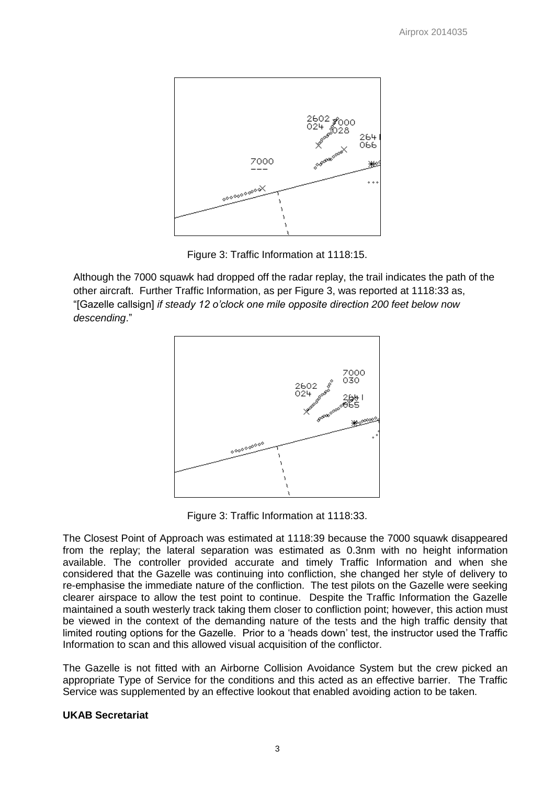

Figure 3: Traffic Information at 1118:15.

Although the 7000 squawk had dropped off the radar replay, the trail indicates the path of the other aircraft. Further Traffic Information, as per Figure 3, was reported at 1118:33 as, "[Gazelle callsign] *if steady 12 o'clock one mile opposite direction 200 feet below now descending*."



Figure 3: Traffic Information at 1118:33.

The Closest Point of Approach was estimated at 1118:39 because the 7000 squawk disappeared from the replay; the lateral separation was estimated as 0.3nm with no height information available. The controller provided accurate and timely Traffic Information and when she considered that the Gazelle was continuing into confliction, she changed her style of delivery to re-emphasise the immediate nature of the confliction. The test pilots on the Gazelle were seeking clearer airspace to allow the test point to continue. Despite the Traffic Information the Gazelle maintained a south westerly track taking them closer to confliction point; however, this action must be viewed in the context of the demanding nature of the tests and the high traffic density that limited routing options for the Gazelle. Prior to a 'heads down' test, the instructor used the Traffic Information to scan and this allowed visual acquisition of the conflictor.

The Gazelle is not fitted with an Airborne Collision Avoidance System but the crew picked an appropriate Type of Service for the conditions and this acted as an effective barrier. The Traffic Service was supplemented by an effective lookout that enabled avoiding action to be taken.

# **UKAB Secretariat**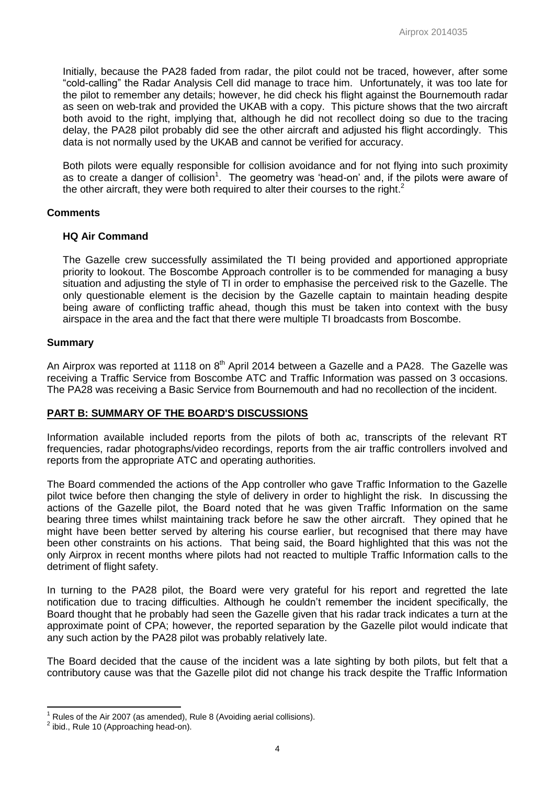Initially, because the PA28 faded from radar, the pilot could not be traced, however, after some "cold-calling" the Radar Analysis Cell did manage to trace him. Unfortunately, it was too late for the pilot to remember any details; however, he did check his flight against the Bournemouth radar as seen on web-trak and provided the UKAB with a copy. This picture shows that the two aircraft both avoid to the right, implying that, although he did not recollect doing so due to the tracing delay, the PA28 pilot probably did see the other aircraft and adjusted his flight accordingly. This data is not normally used by the UKAB and cannot be verified for accuracy.

Both pilots were equally responsible for collision avoidance and for not flying into such proximity as to create a danger of collision<sup>1</sup>. The geometry was 'head-on' and, if the pilots were aware of the other aircraft, they were both required to alter their courses to the right. $^2$ 

### **Comments**

### **HQ Air Command**

The Gazelle crew successfully assimilated the TI being provided and apportioned appropriate priority to lookout. The Boscombe Approach controller is to be commended for managing a busy situation and adjusting the style of TI in order to emphasise the perceived risk to the Gazelle. The only questionable element is the decision by the Gazelle captain to maintain heading despite being aware of conflicting traffic ahead, though this must be taken into context with the busy airspace in the area and the fact that there were multiple TI broadcasts from Boscombe.

### **Summary**

An Airprox was reported at 1118 on 8<sup>th</sup> April 2014 between a Gazelle and a PA28. The Gazelle was receiving a Traffic Service from Boscombe ATC and Traffic Information was passed on 3 occasions. The PA28 was receiving a Basic Service from Bournemouth and had no recollection of the incident.

# **PART B: SUMMARY OF THE BOARD'S DISCUSSIONS**

Information available included reports from the pilots of both ac, transcripts of the relevant RT frequencies, radar photographs/video recordings, reports from the air traffic controllers involved and reports from the appropriate ATC and operating authorities.

The Board commended the actions of the App controller who gave Traffic Information to the Gazelle pilot twice before then changing the style of delivery in order to highlight the risk. In discussing the actions of the Gazelle pilot, the Board noted that he was given Traffic Information on the same bearing three times whilst maintaining track before he saw the other aircraft. They opined that he might have been better served by altering his course earlier, but recognised that there may have been other constraints on his actions. That being said, the Board highlighted that this was not the only Airprox in recent months where pilots had not reacted to multiple Traffic Information calls to the detriment of flight safety.

In turning to the PA28 pilot, the Board were very grateful for his report and regretted the late notification due to tracing difficulties. Although he couldn't remember the incident specifically, the Board thought that he probably had seen the Gazelle given that his radar track indicates a turn at the approximate point of CPA; however, the reported separation by the Gazelle pilot would indicate that any such action by the PA28 pilot was probably relatively late.

The Board decided that the cause of the incident was a late sighting by both pilots, but felt that a contributory cause was that the Gazelle pilot did not change his track despite the Traffic Information

 $\overline{\phantom{a}}$ 

Rules of the Air 2007 (as amended), Rule 8 (Avoiding aerial collisions).

 $2$  ibid., Rule 10 (Approaching head-on).